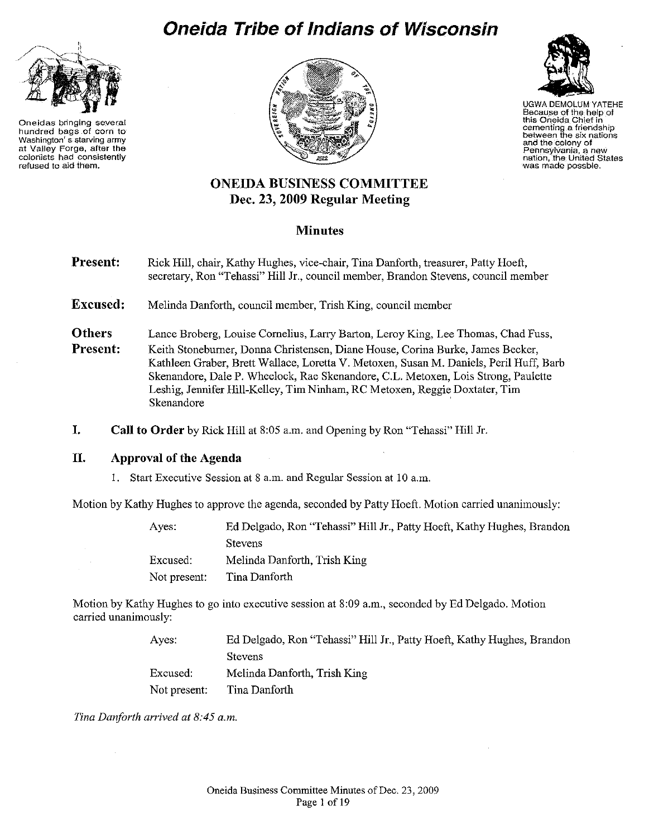# **Oneida Tribe of Indians of Wisconsin**



**Oneidas bringing several hundred bags of corn to Washington' s.starving army at Valley Forge, after the colonists had consistently refused to aid them.** 





UGWA DEMOLUM YATEHE Because of the help of **this Oneida Chief in cementing a friendship between the sfx nations and the colony of Pennsylvania, a new nation, the United States was made possble.** 

# **ONEIDA BUSINESS COMMITTEE Dec. 23, 2009 Regular Meeting**

# **Minutes**

**Present:**  Rick Hill, chair, Kathy Hughes, vice-chair, Tina Danforth, treasurer, Patty Hoeft, secretary, Ron "Tehassi" Hill Jr., council member, Brandon Stevens, council member

**Excused:**  Melinda Danforth, council member, Trish King, council member

**Others Present:**  Lance Broberg, Louise Cornelius, Larry Barton, Leroy King, Lee Thomas, Chad Fuss, Keith Stoneburner, Dorma Christensen, Diane House, Corina Burke, James Becker, Kathleen Graber, Brett Wallace, Loretta V. Metoxen, Susan M. Daniels, Peril Huff, Barb Skenandore, Dale P. Wheelock, Rae Skenandore, C.L. Metoxen, Lois Strong, Paulette

Leshig, Jermifer Hill-Kelley, Tim Ninham, RC Metoxen, Reggie Doxtater, Tim Skenandore

**I. Call to Order** by Rick Hill at 8:05 a.m. and Opening by Ron "Tehassi" Hill Jr.

# **II. Approval of the Agenda**

1. Start Executive Session at 8 a.m. and Regular Session at 10 a.m.

Motion by Kathy Hughes to approve the agenda, seconded by Patty Hoeft. Motion carried unanimously:

Ayes: Excused: Not present: Ed Delgado, Ron "Tehassi" Hill Jr., Patty Hoeft, Kathy Hughes, Brandon Stevens Melinda Danforth, Trish King Tina Danforth

Motion by Kathy Hughes to go into executive session at 8:09 a.m., seconded by Ed Delgado. Motion carried unanimously:

> Ayes: Excused: Not present: Ed Delgado, Ron "Tehassi" Hill Jr., Patty Hoeft, Kathy Hughes, Brandon Stevens Melinda Danforth, Trish King Tina Danforth

*Tina Danforth arrived at 8:45a.m.*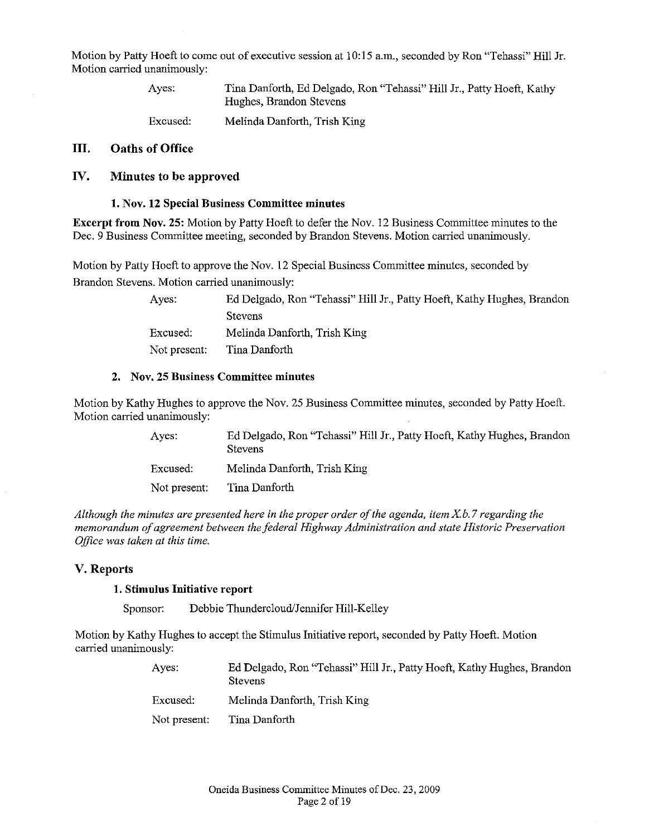Motion by Patty Hoeft to come out of executive session at 10:15 a.m., seconded by Ron "Tehassi" Hill Jr. Motion carried unanimously:

> Ayes: Tina Danforth, Ed Delgado, Ron "Tehassi" Hill Jr., Patty Hoeft, Kathy Hughes, Brandon Stevens

Excused: Melinda Danforth, Trish King

## III. Oaths of Office

## IV. Minutes to be approved

## 1. Nov. 12 Special Business Committee minutes

Excerpt from Nov. 25: Motion by Patty Hoeft to defer the Nov. 12 Business Committee minutes to the Dec. 9 Business Committee meeting, seconded by Brandon Stevens. Motion carried unanimously.

Motion by Patty Hoeft to approve the Nov. 12 Special Business Committee minutes, seconded by Brandon Stevens. Motion carried unanimously:

> Ayes: Ed Delgado, Ron "Tehassi" Hill Jr., Patty Hoeft, Kathy Hughes, Brandon **Stevens** Excused: Not present: Melinda Danforth, Trish King Tina Danforth

#### 2. Nov. 25 Business Committee minutes

Motion by Kathy Hughes to approve the Nov. 25 Business Committee minutes, seconded by Patty Hoeft. Motion carried unanimously:

> Ayes: Excused: Not present: Ed Delgado, Ron "Tehassi" Hill Jr., Patty Hoeft, Kathy Hughes, Brandon Stevens Melinda Danforth, Trish King Tina Danforth

*Although the minutes are presented here in the proper order of the agenda, item X b.* 7 *regarding the memorandum of agreement between the federal Highway Administration and state Historic Preservation Office was taken at this time.* 

## V. Reports

#### 1. Stimulus Initiative report

Sponsor: Debbie Thundercloud/Jennifer Hill-Kelley

Motion by Kathy Hughes to accept the Stimulus Initiative report, seconded by Patty Hoeft. Motion carried unanimously:

| Aves:        | Ed Delgado, Ron "Tehassi" Hill Jr., Patty Hoeft, Kathy Hughes, Brandon<br><b>Stevens</b> |
|--------------|------------------------------------------------------------------------------------------|
| Excused:     | Melinda Danforth, Trish King                                                             |
| Not present: | Tina Danforth                                                                            |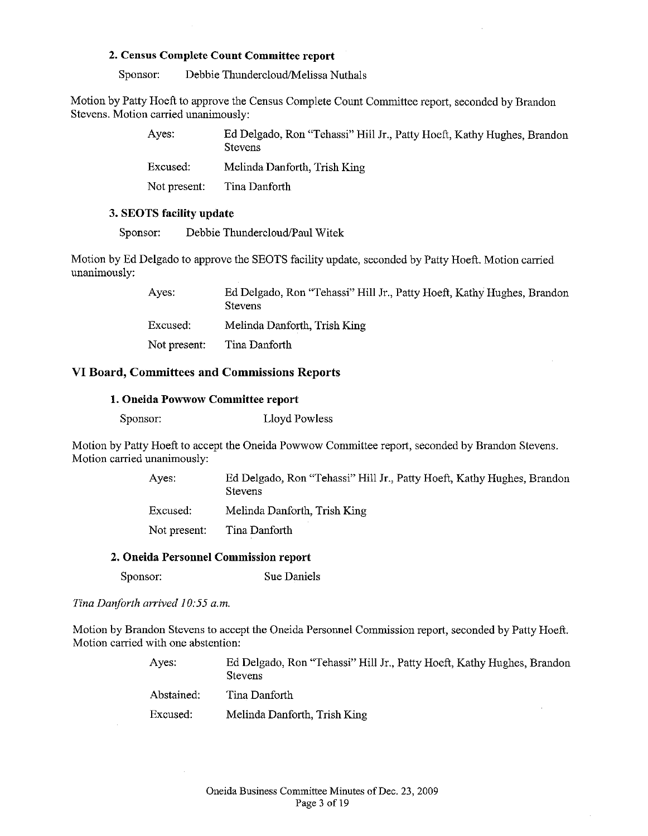## **2. Census Complete Count Committee report**

Sponsor: Debbie Thundercloud/Melissa Nuthals

Motion by Patty Hoeft to approve the Census Complete Count Committee report, seconded by Brandon Stevens. Motion carried unanimously:

| Ayes:        | Ed Delgado, Ron "Tehassi" Hill Jr., Patty Hoeft, Kathy Hughes, Brandon<br><b>Stevens</b> |
|--------------|------------------------------------------------------------------------------------------|
| Excused:     | Melinda Danforth, Trish King                                                             |
| Not present: | Tina Danforth                                                                            |

## **3. SEOTS facility update**

Sponsor: Debbie Thundercloud/Paul Witek

Motion by Ed Delgado to approve the SEOTS facility update, seconded by Patty Hoeft. Motion carried unanimously:

| Ayes.        | Ed Delgado, Ron "Tehassi" Hill Jr., Patty Hoeft, Kathy Hughes, Brandon<br><b>Stevens</b> |
|--------------|------------------------------------------------------------------------------------------|
| Excused:     | Melinda Danforth, Trish King                                                             |
| Not present: | Tina Danforth                                                                            |

## **VI Board, Committees and Commissions Reports**

#### **1. Oneida Powwow Committee report**

| Sponsor: | Lloyd Powless |
|----------|---------------|
|----------|---------------|

Motion by Patty Hoeft to accept the Oneida Powwow Committee report, seconded by Brandon Stevens. Motion carried unanimously:

> Ayes: Ed Delgado, Ron "Tehassi" Hill Jr., Patty Hoeft, Kathy Hughes, Brandon Stevens

Excused: Melinda Danforth, Trish King

Not present: Tina Danforth

## **2. Oneida Personnel Commission report**

Sponsor: Sue Daniels

*Tina Danforth arrived 10:55 a.m.* 

Motion by Brandon Stevens to accept the Oneida Personnel Commission report, seconded by Patty Hoeft. Motion carried with one abstention:

| Aves:      | Ed Delgado, Ron "Tehassi" Hill Jr., Patty Hoeft, Kathy Hughes, Brandon<br><b>Stevens</b> |
|------------|------------------------------------------------------------------------------------------|
| Abstained: | Tina Danforth                                                                            |
| Excused:   | Melinda Danforth, Trish King                                                             |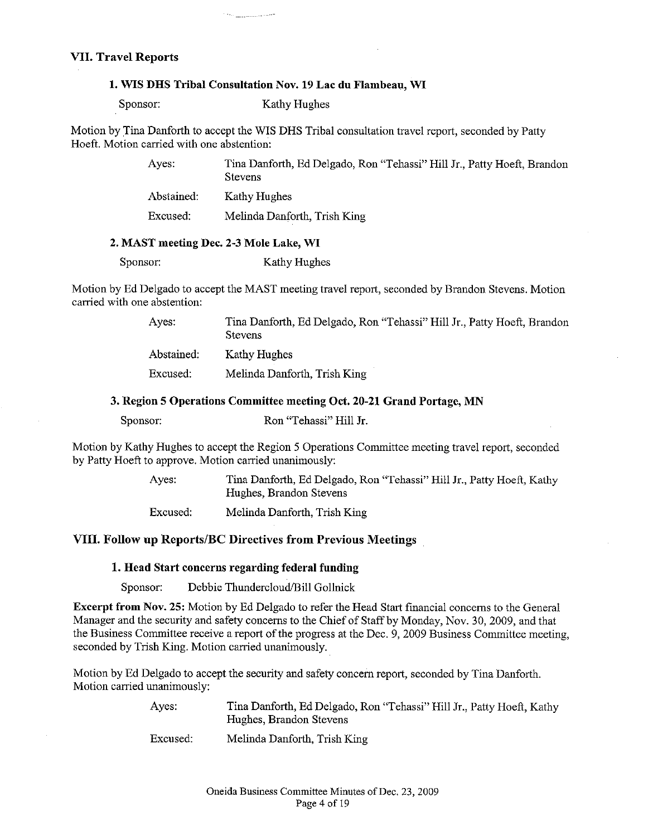## **VII. Travel Reports**

#### **1. WIS DHS Tribal Consultation Nov. 19 Lac du Flambeau, WI**

Sponsor: Kathy Hughes

Motion by Tina Danforth to accept the WIS DHS Tribal consultation travel report, seconded by Patty Hoeft. Motion carried with one abstention:

> Ayes: Abstained: Excused: Tina Danforth, Ed Delgado, Ron "Tehassi" Hill Jr., Patty Hoeft, Brandon **Stevens** Kathy Hughes Melinda Danforth, Trish King

## **2. MAST meeting Dec. 2-3 Mole Lake, WI**

Sponsor: Kathy Hughes

Motion by Ed Delgado to accept the MAST meeting travel report, seconded by Brandon Stevens. Motion carried with one abstention:

> Ayes: Abstained: Excused: Tina Danforth, Ed Delgado, Ron "Tehassi" Hill Jr., Patty Hoeft, Brandon Stevens Kathy Hughes Melinda Danforth, Trish King

**3. Region 5 Operations Committee meeting Oct. 20-21 Grand Portage, MN** 

| Sponsor: | Ron "Tehassi" Hill Jr. |  |
|----------|------------------------|--|
|----------|------------------------|--|

Motion by Kathy Hughes to accept the Region 5 Operations Committee meeting travel report, seconded by Patty Hoeft to approve. Motion carried unanimously:

> Ayes: Tina Danforth, Ed Delgado, Ron "Tehassi" Hill Jr., Patty Hoeft, Kathy Hughes, Brandon Stevens

Excused: Melinda Danforth, Trish King

## **VIII. Follow up Reports/BC Directives from Previous Meetings**

## **1. Head Start concerns regarding federal funding**

Sponsor: Debbie Thundercloud/Bill Gollnick

**Excerpt from Nov. 25:** Motion by Ed Delgado to refer the Head Start financial concerns to the General Manager and the security and safety concerns to the Chief of Staff by Monday, Nov. 30, 2009, and that the Business Committee receive a report of the progress at the Dec. 9, 2009 Business Committee meeting, seconded by Trish King. Motion carried unanimously.

Motion by Ed Delgado to accept the security and safety concern report, seconded by Tina Danforth. Motion carried unanimously:

> Ayes: Tina Danforth, Ed Delgado, Ron "Tehassi" Hill Jr., Patty Hoeft, Kathy Hughes, Brandon Stevens

Excused: Melinda Danforth, Trish King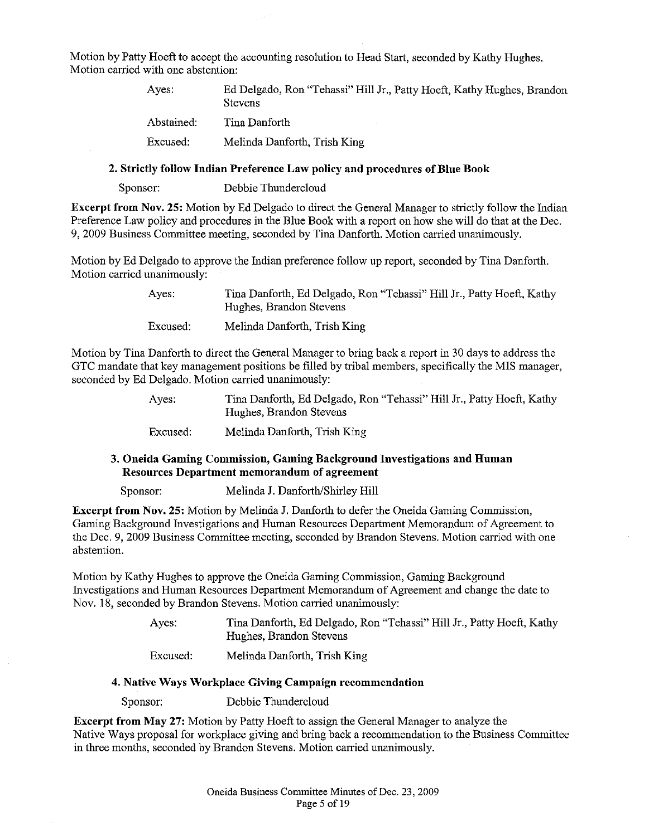Motion by Patty Hoeft to accept the accounting resolution to Head Start, seconded by Kathy Hughes. Motion carried with one abstention:

| Aves.      | Ed Delgado, Ron "Tehassi" Hill Jr., Patty Hoeft, Kathy Hughes, Brandon<br><b>Stevens</b> |
|------------|------------------------------------------------------------------------------------------|
| Abstained: | Tina Danforth                                                                            |
| Excused:   | Melinda Danforth, Trish King                                                             |

## 2. Strictly follow Indian Preference Law policy and procedures of Blue Book

Sponsor: Debbie Thundercloud

Excerpt from Nov. 25: Motion by Ed Delgado to direct the General Manager to strictly follow the Indian Preference Law policy and procedures in the Blue Book with a report on how she will do that at the Dec. 9, 2009 Business Committee meeting, seconded by Tina Danforth. Motion carried unanimously.

Motion by Ed Delgado to approve the Indian preference follow up report, seconded by Tina Danforth. Motion carried unanimously:

| Aves:    | Tina Danforth, Ed Delgado, Ron "Tehassi" Hill Jr., Patty Hoeft, Kathy<br>Hughes, Brandon Stevens |
|----------|--------------------------------------------------------------------------------------------------|
| Excused: | Melinda Danforth, Trish King                                                                     |

Motion by Tina Danforth to direct the General Manager to bring back a report in 30 days to address the GTC mandate that key management positions be filled by tribal members, specifically the MIS manager, seconded by Ed Delgado. Motion carried unanimously:

> Ayes: Tina Danforth, Ed Delgado, Ron "Tehassi" Hill Jr., Patty Hoeft, Kathy Hughes, Brandon Stevens

Excused: Melinda Danforth, Trish King

## 3. Oneida Gaming Commission, Gaming Background Investigations and Human Resources Department memorandum of agreement

Sponsor: Melinda J. Danforth/Shirley Hill

Excerpt from Nov. 25: Motion by Melinda J. Danforth to defer the Oneida Gaming Commission, Gaming Background Investigations and Human Resources Department Memorandum of Agreement to the Dec. 9, 2009 Business Committee meeting, seconded by Brandon Stevens. Motion carried with one abstention.

Motion by Kathy Hughes to approve the Oneida Gaming Commission, Gaming Background Investigations and Human Resources Department Memorandum of Agreement and change the date to Nov. 18, seconded by Brandon Stevens. Motion carried unanimously:

> Ayes: Tina Danforth, Ed Delgado, Ron "Tehassi" Hill Jr., Patty Hoeft, Kathy Hughes, Brandon Stevens

Excused: Melinda Danforth, Trish King

#### 4. Native Ways Workplace Giving Campaign recommendation

Sponsor: Debbie Thundercloud

Excerpt from May 27: Motion by Patty Hoeft to assign the General Manager to analyze the Native Ways proposal for workplace giving and bring back a recommendation to the Business Committee in three months, seconded by Brandon Stevens. Motion carried unanimously.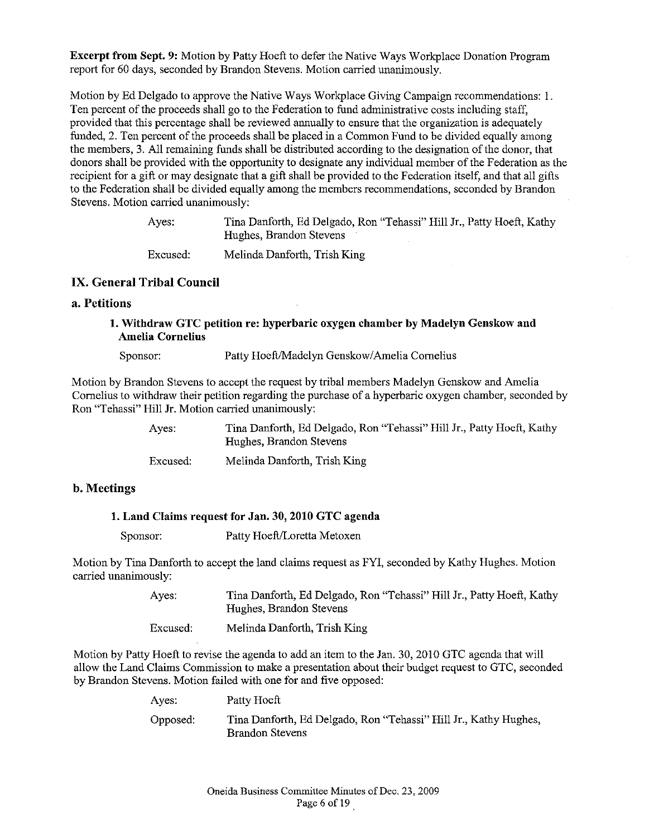**Excerpt from Sept. 9:** Motion by Patty Hoeft to defer the Native Ways Workplace Donation Program report for 60 days, seconded by Brandon Stevens. Motion carried unanimously.

Motion by Ed Delgado to approve the Native Ways Workplace Giving Campaign recommendations: I. Ten percent of the proceeds shall go to the Federation to fund administrative costs including staff, provided that this percentage shall be reviewed annually to ensure that the organization is adequately funded, 2. Ten percent of the proceeds shall be placed in a Common Fund to be divided equally among the members, 3. All remaining funds shall be distributed according to the designation of the donor, that donors shall be provided with the opportunity to designate any individual member of the Federation as the recipient for a gift or may designate that a gift shall be provided to the Federation itself, and that all gifts to the Federation shall be divided equally among the members recommendations, seconded by Brandon Stevens. Motion carried unanimously:

| Ayes.    | Tina Danforth, Ed Delgado, Ron "Tehassi" Hill Jr., Patty Hoeft, Kathy<br>Hughes, Brandon Stevens |
|----------|--------------------------------------------------------------------------------------------------|
| Excused: | Melinda Danforth, Trish King                                                                     |

## **IX. General Tribal Council**

## **a. Petitions**

## **1. Withdraw GTC petition re: hyperbaric oxygen chamber by Madelyn Genskow and Amelia Cornelius**

Sponsor: Patty Hoeft/Madelyn Genskow/Amelia Cornelius

Motion by Brandon Stevens to accept the request by tribal members Madelyn Genskow and Amelia Cornelius to withdraw their petition regarding the purchase of a hyperbaric oxygen chamber, seconded by Ron "Tehassi" Hill Jr. Motion carried unanimously:

| Aves:    | Tina Danforth, Ed Delgado, Ron "Tehassi" Hill Jr., Patty Hoeft, Kathy<br>Hughes, Brandon Stevens |
|----------|--------------------------------------------------------------------------------------------------|
| Excused: | Melinda Danforth, Trish King                                                                     |

## **b. Meetings**

## **1. Land Claims request for Jan. 30, 2010 GTC agenda**

Sponsor: Patty Hoeft/Loretta Metoxen

Motion by Tina Danforth to accept the land claims request as FYI, seconded by Kathy Hughes. Motion carried unanimously:

| Ayes: | Tina Danforth, Ed Delgado, Ron "Tehassi" Hill Jr., Patty Hoeft, Kathy |
|-------|-----------------------------------------------------------------------|
|       | Hughes, Brandon Stevens                                               |

Excused: Melinda Danforth, Trish King

Motion by Patty Hoeft to revise the agenda to add an item to the Jan. 30, 2010 GTC agenda that will allow the Land Claims Commission to make a presentation about their budget request to GTC, seconded by Brandon Stevens. Motion failed with one for and five opposed:

| Ayes:    | Patty Hoeft                                                                                |
|----------|--------------------------------------------------------------------------------------------|
| Opposed: | Tina Danforth, Ed Delgado, Ron "Tehassi" Hill Jr., Kathy Hughes,<br><b>Brandon Stevens</b> |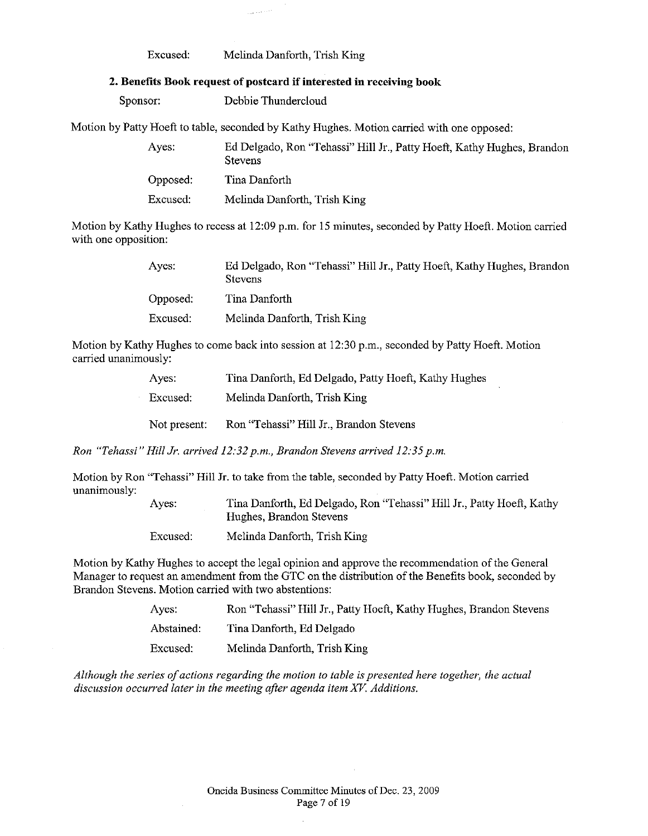#### Excused: Melinda Danforth, Trish King

#### **2. Benefits Book request of postcard if interested in receiving book**

Sponsor: Debbie Thundercloud

Motion by Patty Hoeft to table, seconded by Kathy Hughes. Motion carried with one opposed:

| Ayes:    | Ed Delgado, Ron "Tehassi" Hill Jr., Patty Hoeft, Kathy Hughes, Brandon<br><b>Stevens</b> |
|----------|------------------------------------------------------------------------------------------|
| Opposed: | Tina Danforth                                                                            |
| Excused: | Melinda Danforth, Trish King                                                             |

Motion by Kathy Hughes to recess at 12:09 p.m. for 15 minutes, seconded by Patty Hoeft. Motion carried with one opposition:

| Ayes:    | Ed Delgado, Ron "Tehassi" Hill Jr., Patty Hoeft, Kathy Hughes, Brandon<br><b>Stevens</b> |
|----------|------------------------------------------------------------------------------------------|
| Opposed: | Tina Danforth                                                                            |
| Excused: | Melinda Danforth, Trish King                                                             |

Motion by Kathy Hughes to come back into session at 12:30 p.m., seconded by Patty Hoeft. Motion carried unanimously:

| Aves:        | Tina Danforth, Ed Delgado, Patty Hoeft, Kathy Hughes |
|--------------|------------------------------------------------------|
| Excused:     | Melinda Danforth, Trish King                         |
| Not present: | Ron "Tehassi" Hill Jr., Brandon Stevens              |

*Ron "Tehassi" Hill Jr. arrived 12:32 p.m., Brandon Stevens arrived 12:35 p.m.* 

Motion by Ron "Tehassi" Hill Jr. to take from the table, seconded by Patty Hoeft. Motion carried unanimously:

| Ayes:    | Tina Danforth, Ed Delgado, Ron "Tehassi" Hill Jr., Patty Hoeft, Kathy<br>Hughes, Brandon Stevens |
|----------|--------------------------------------------------------------------------------------------------|
| Excused: | Melinda Danforth, Trish King                                                                     |

Motion by Kathy Hughes to accept the legal opinion and approve the recommendation of the General Manager to request an amendment from the GTC on the distribution of the Benefits book, seconded by Brandon Stevens. Motion carried with two abstentions:

| Ayes:      | Ron "Tehassi" Hill Jr., Patty Hoeft, Kathy Hughes, Brandon Stevens |
|------------|--------------------------------------------------------------------|
| Abstained: | Tina Danforth, Ed Delgado                                          |
| Excused:   | Melinda Danforth, Trish King                                       |

*Although the series of actions regarding the motion to table is presented here together, the actual discussion occurred later in the meeting after agenda item* XV. *Additions.* 

i,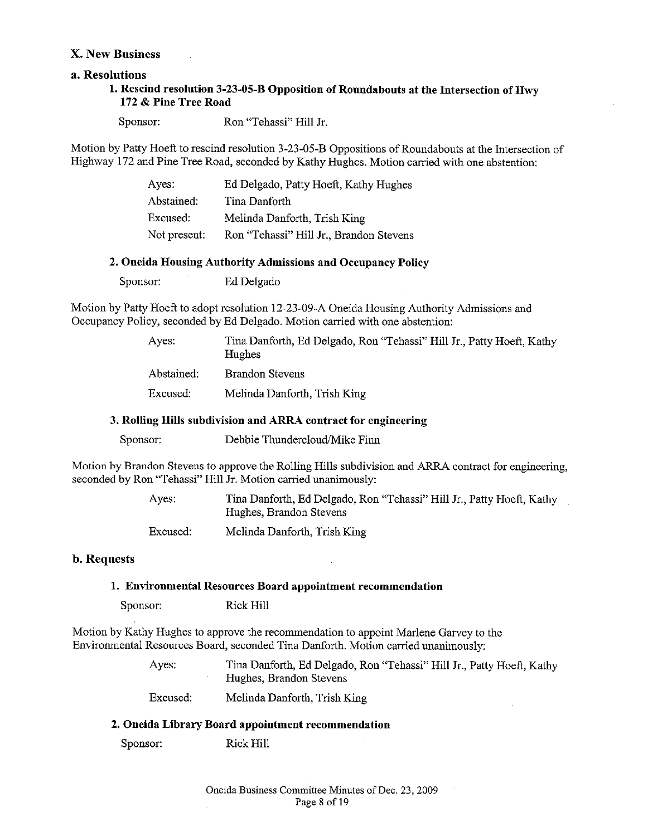## **X. New Business**

## **a. Resolutions**

## **1. Rescind resolution 3-23-05-B Opposition of Roundabouts at the Intersection of Hwy 172 & Pine Tree Road**

Sponsor: Ron "Tehassi" Hill Jr.

Motion by Patty Hoeft to rescind resolution 3-23-05-B Oppositions of Roundabouts at the Intersection of Highway 172 and Pine Tree Road, seconded by Kathy Hughes. Motion carried with one abstention:

| Ayes:        | Ed Delgado, Patty Hoeft, Kathy Hughes   |
|--------------|-----------------------------------------|
| Abstained:   | Tina Danforth                           |
| Excused:     | Melinda Danforth, Trish King            |
| Not present: | Ron "Tehassi" Hill Jr., Brandon Stevens |

#### **2. Oneida Housing Authority Admissions and Occupancy Policy**

Sponsor: Ed Delgado

Motion by Patty Hoeft to adopt resolution 12-23-09-A Oneida Housing Authority Admissions and Occupancy Policy, seconded by Ed Delgado. Motion carried with one abstention:

| Ayes.      | Tina Danforth, Ed Delgado, Ron "Tehassi" Hill Jr., Patty Hoeft, Kathy<br>Hughes |
|------------|---------------------------------------------------------------------------------|
| Abstained: | <b>Brandon Stevens</b>                                                          |
| Excused:   | Melinda Danforth, Trish King                                                    |

## **3. Rolling Hills subdivision and ARRA contract for engineering**

Sponsor: Debbie Thundercloud/Mike Finn

Motion by Brandon Stevens to approve the Rolling Hills subdivision and ARRA contract for engineering, seconded by Ron "Tehassi" Hill Jr. Motion carried unanimously:

> Ayes: Tina Danforth, Ed Delgado, Ron "Tehassi" Hill Jr., Patty Hoeft, Kathy Hughes, Brandon Stevens

Excused: Melinda Danforth, Trish King

## **b. Requests**

#### **1. Environmental Resources Board appointment recommendation**

Sponsor: Rick Hill

Motion by Kathy Hughes to approve the recommendation to appoint Marlene Garvey to the Environmental Resources Board, seconded Tina Danforth. Motion carried unanimously:

> Ayes: Tina Danforth, Ed Delgado, Ron "Tehassi" Hill Jr., Patty Hoeft, Kathy Hughes, Brandon Stevens

Excused: Melinda Danforth, Trish King

#### **2. Oneida Library Board appointment recommendation**

Sponsor: Rick Hill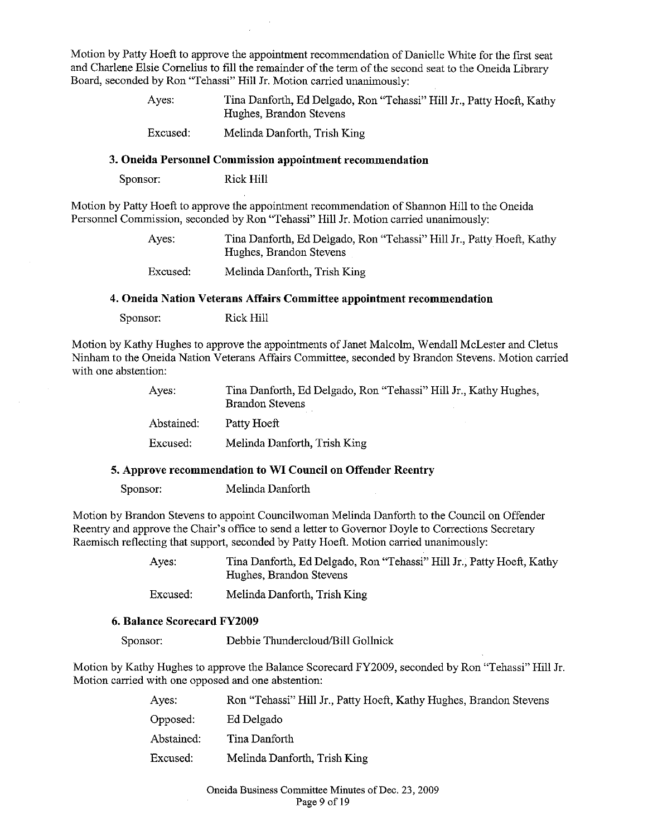Motion by Patty Hoeft to approve the appointment recommendation of Danielle White for the first seat and Charlene Elsie Cornelius to fill the remainder of the term of the second seat to the Oneida Library Board, seconded by Ron "Tehassi" Hill Jr. Motion carried unanimously:

| Ayes: | Tina Danforth, Ed Delgado, Ron "Tehassi" Hill Jr., Patty Hoeft, Kathy |
|-------|-----------------------------------------------------------------------|
|       | Hughes, Brandon Stevens                                               |

Excused: Melinda Danforth, Trish King

#### **3. Oneida Personnel Commission appointment recommendation**

Sponsor: Rick Hill

Motion by Patty Hoeft to approve the appointment recommendation of Shannon Hill to the Oneida Personnel Commission, seconded by Ron "Tehassi" Hill Jr. Motion carried unanimously:

> Ayes: Tina Danforth, Ed Delgado, Ron "Tehassi" Hill Jr., Patty Hoeft, Kathy Hughes, Brandon Stevens

Excused: Melinda Danforth, Trish King

#### **4. Oneida Nation Veterans Affairs Committee appointment recommendation**

Sponsor: Rick Hill

Motion by Kathy Hughes to approve the appointments of Janet Malcolm, Wendall McLester and Cletus Ninham to the Oneida Nation Veterans Affairs Committee, seconded by Brandon Stevens. Motion carried with one abstention:

| Aves:      | Tina Danforth, Ed Delgado, Ron "Tehassi" Hill Jr., Kathy Hughes,<br><b>Brandon Stevens</b> |
|------------|--------------------------------------------------------------------------------------------|
| Abstained: | Patty Hoeft                                                                                |
| Excused:   | Melinda Danforth, Trish King                                                               |

# **5. Approve recommendation to WI Conncil on Offender Reentry**

Sponsor: Melinda Danforth

Motion by Brandon Stevens to appoint Councilwoman Melinda Danforth to the Council on Offender Reentry and approve the Chair's office to send a letter to Governor Doyle to Corrections Secretary Raemisch reflecting that support, seconded by Patty Hoeft. Motion carried unanimously:

> Ayes: Tina Danforth, Ed Delgado, Ron "Tehassi" Hill Jr., Patty Hoeft, Kathy Hughes, Brandon Stevens

Excused: Melinda Danforth, Trish King

#### **6. Balance Scorecard FY2009**

Sponsor: Debbie Thundercloud/Bill Gollnick

Motion by Kathy Hughes to approve the Balance Scorecard FY2009, seconded by Ron "Tehassi" Hill Jr. Motion carried with one opposed and one abstention:

| Ayes:      | Ron "Tehassi" Hill Jr., Patty Hoeft, Kathy Hughes, Brandon Stevens |
|------------|--------------------------------------------------------------------|
| Opposed:   | Ed Delgado                                                         |
| Abstained: | Tina Danforth                                                      |
| Excused:   | Melinda Danforth, Trish King                                       |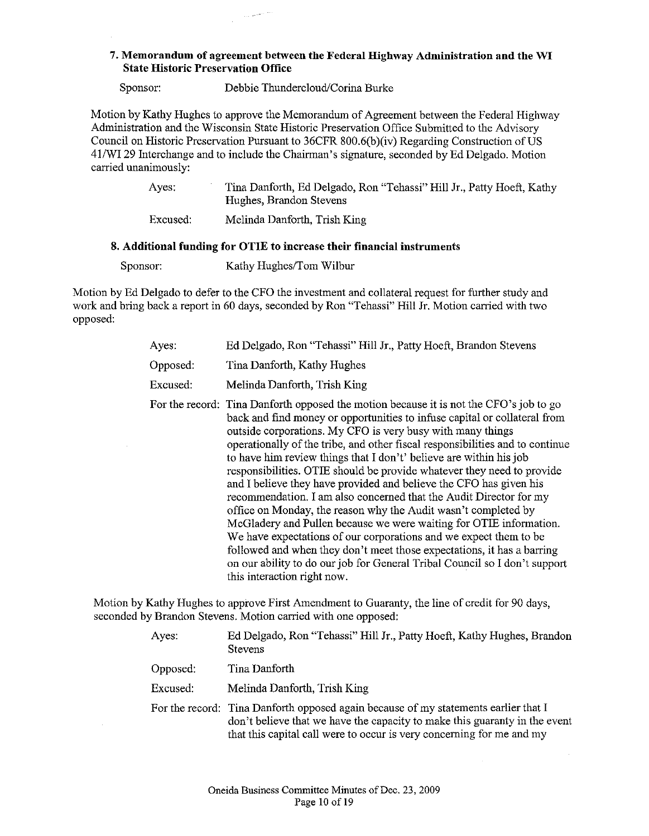## 7. **Memorandum of agreement between the Federal Highway Administration and the WI State Historic Preservation Office**

Sponsor: Debbie Thundercloud/Corina Burke

Motion by Kathy Hughes to approve the Memorandum of Agreement between the Federal Highway Administration and the Wisconsin State Historic Preservation Office Submitted to the Advisory Council on Historic Preservation Pursuant to 36CFR 800.6(b)(iv) Regarding Construction of US 41/WI 29 Interchange and to include the Chairman's signature, seconded by Ed Delgado. Motion carried unanimously:

| Ayes: | Tina Danforth, Ed Delgado, Ron "Tehassi" Hill Jr., Patty Hoeft, Kathy<br>Hughes, Brandon Stevens |
|-------|--------------------------------------------------------------------------------------------------|
|       |                                                                                                  |

Excused: Melinda Danforth, Trish King

## **8. Additional funding for OTIE to increase their financial instruments**

Sponsor: Kathy Hughes/Tom Wilbur

Motion by Ed Delgado to defer to the CFO the investment and collateral request for further study and work and bring back a report in 60 days, seconded by Ron "Tehassi" Hill Jr. Motion carried with two opposed:

| Ayes:    | Ed Delgado, Ron "Tehassi" Hill Jr., Patty Hoeft, Brandon Stevens                                                                                                                                                                                                                                                                                                                                                                                                                                                                                                                                                                                                                                                                                                                                                                                                                                                                                                                                                   |
|----------|--------------------------------------------------------------------------------------------------------------------------------------------------------------------------------------------------------------------------------------------------------------------------------------------------------------------------------------------------------------------------------------------------------------------------------------------------------------------------------------------------------------------------------------------------------------------------------------------------------------------------------------------------------------------------------------------------------------------------------------------------------------------------------------------------------------------------------------------------------------------------------------------------------------------------------------------------------------------------------------------------------------------|
| Opposed: | Tina Danforth, Kathy Hughes                                                                                                                                                                                                                                                                                                                                                                                                                                                                                                                                                                                                                                                                                                                                                                                                                                                                                                                                                                                        |
| Excused: | Melinda Danforth, Trish King                                                                                                                                                                                                                                                                                                                                                                                                                                                                                                                                                                                                                                                                                                                                                                                                                                                                                                                                                                                       |
|          | For the record: Tina Danforth opposed the motion because it is not the CFO's job to go<br>back and find money or opportunities to infuse capital or collateral from<br>outside corporations. My CFO is very busy with many things<br>operationally of the tribe, and other fiscal responsibilities and to continue<br>to have him review things that I don't' believe are within his job<br>responsibilities. OTIE should be provide whatever they need to provide<br>and I believe they have provided and believe the CFO has given his<br>recommendation. I am also concerned that the Audit Director for my<br>office on Monday, the reason why the Audit wasn't completed by<br>McGladery and Pullen because we were waiting for OTIE information.<br>We have expectations of our corporations and we expect them to be<br>followed and when they don't meet those expectations, it has a barring<br>on our ability to do our job for General Tribal Council so I don't support<br>this interaction right now. |

Motion by Kathy Hughes to approve First Amendment to Guaranty, the line of credit for 90 days, seconded by Brandon Stevens. Motion carried with one opposed:

| Ayes:    | Ed Delgado, Ron "Tehassi" Hill Jr., Patty Hoeft, Kathy Hughes, Brandon<br><b>Stevens</b>                                                                                                                                                   |
|----------|--------------------------------------------------------------------------------------------------------------------------------------------------------------------------------------------------------------------------------------------|
| Opposed: | Tina Danforth                                                                                                                                                                                                                              |
| Excused: | Melinda Danforth, Trish King                                                                                                                                                                                                               |
|          | For the record: Tina Danforth opposed again because of my statements earlier that I<br>don't believe that we have the capacity to make this guaranty in the event<br>that this capital call were to occur is very concerning for me and my |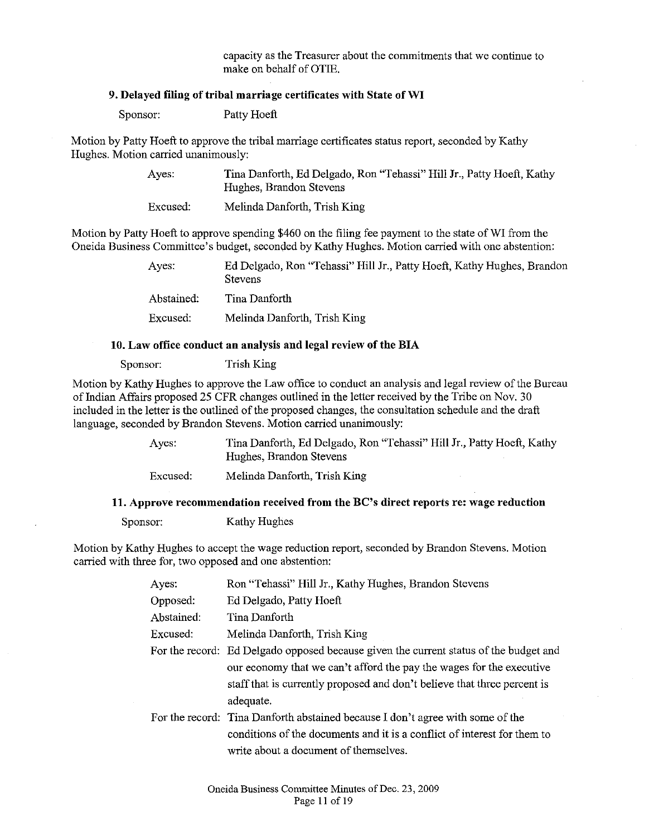capacity as the Treasurer about the commitments that we continue to make on behalf of OTIE.

## 9. Delayed filing of tribal marriage certificates with State of WI

Sponsor: Patty Hoeft

Motion by Patty Hoeft to approve the tribal marriage certificates status report, seconded by Kathy Hughes. Motion carried unanimously:

> Ayes: Tina Danforth, Ed Delgado, Ron "Tehassi" Hill Jr., Patty Hoeft, Kathy Hughes, Brandon Stevens

Excused: Melinda Danforth, Trish King

Motion by Patty Hoeft to approve spending \$460 on the filing fee payment to the state of WI from the Oneida Business Committee's budget, seconded by Kathy Hughes. Motion carried with one abstention:

> Ayes: Ed Delgado, Ron "Tehassi" Hill Jr., Patty Hoeft, Kathy Hughes, Brandon **Stevens** Abstained: Tina Danforth Excused: Melinda Danforth, Trish King

#### 10. Law office conduct an analysis and legal review of the BIA

Sponsor: Trish King

Motion by Kathy Hughes to approve the Law office to conduct an analysis and legal review of the Bureau of Indian Affairs proposed 25 CFR changes outlined in the letter received by the Tribe on Nov. 30 included in the letter is the outlined of the proposed changes, the consultation schedule and the draft language, seconded by Brandon Stevens. Motion carried unanimously:

> Ayes: Excused: Tina Danforth, Ed Delgado, Ron "Tehassi" Hill Jr., Patty Hoeft, Kathy Hughes, Brandon Stevens Melinda Danforth, Trish King

#### 11. Approve recommendation received from the BC's direct reports re: wage reduction

Sponsor: Kathy Hughes

Motion by Kathy Hughes to accept the wage reduction report, seconded by Brandon Stevens. Motion carried with three for, two opposed and one abstention:

| Ayes:      | Ron "Tehassi" Hill Jr., Kathy Hughes, Brandon Stevens                                 |
|------------|---------------------------------------------------------------------------------------|
| Opposed:   | Ed Delgado, Patty Hoeft                                                               |
| Abstained: | Tina Danforth                                                                         |
| Excused:   | Melinda Danforth, Trish King                                                          |
|            | For the record: Ed Delgado opposed because given the current status of the budget and |
|            | our economy that we can't afford the pay the wages for the executive                  |
|            | staff that is currently proposed and don't believe that three percent is              |
|            | adequate.                                                                             |
|            | For the record: Tina Danforth abstained because I don't agree with some of the        |
|            | conditions of the documents and it is a conflict of interest for them to              |
|            | write about a document of themselves.                                                 |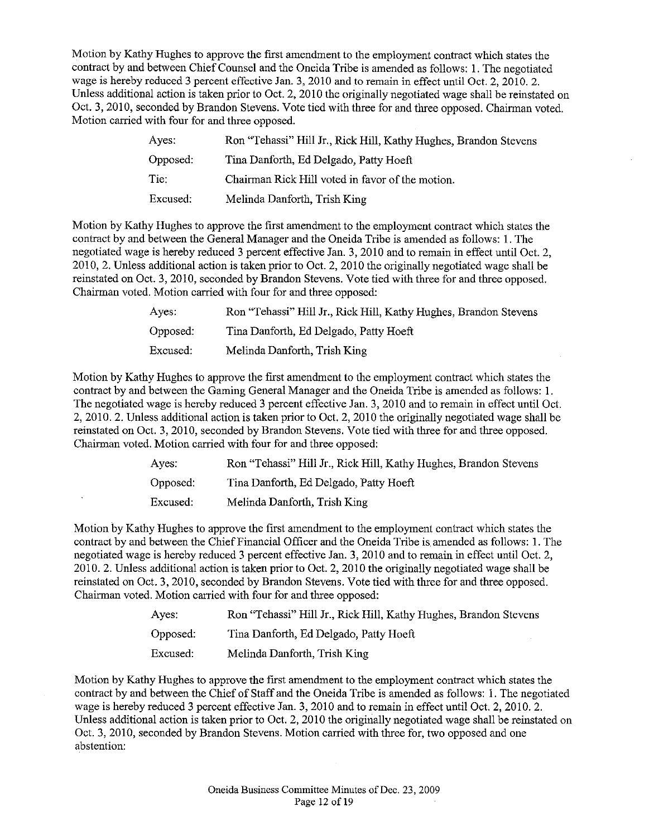Motion by Kathy Hughes to approve the first amendment to the employment contract which states the contract by and between Chief Counsel and the Oneida Tribe is amended as follows: I. The negotiated wage is hereby reduced 3 percent effective Jan. 3, 2010 and to remain in effect until Oct. 2, 2010. 2. Unless additional action is taken prior to Oct. 2, 2010 the originally negotiated wage shall be reinstated on Oct. 3, 2010, seconded by Brandon Stevens. Vote tied with three for and three opposed. Chairman voted. Motion carried with four for and three opposed.

| Ayes:    | Ron "Tehassi" Hill Jr., Rick Hill, Kathy Hughes, Brandon Stevens |
|----------|------------------------------------------------------------------|
| Opposed: | Tina Danforth, Ed Delgado, Patty Hoeft                           |
| Tie:     | Chairman Rick Hill voted in favor of the motion.                 |
| Excused: | Melinda Danforth, Trish King                                     |

Motion by Kathy Hughes to approve the first amendment to the employment contract which states the contract by and between the General Manager and the Oneida Tribe is amended as follows: 1. The negotiated wage is hereby reduced 3 percent effective Jan. 3, 2010 and to remain in effect until Oct. 2, 2010, 2. Unless additional action is taken prior to Oct. 2, 2010 the originally negotiated wage shall be reinstated on Oct. 3, 2010, seconded by Brandon Stevens. Vote tied with three for and three opposed. Chairman voted. Motion carried with four for and three opposed:

| Ayes:    | Ron "Tehassi" Hill Jr., Rick Hill, Kathy Hughes, Brandon Stevens |
|----------|------------------------------------------------------------------|
| Opposed: | Tina Danforth, Ed Delgado, Patty Hoeft                           |
| Excused: | Melinda Danforth, Trish King                                     |

Motion by Kathy Hughes to approve the first amendment to the employment contract which states the contract by and between the Gaming General Manager and the Oneida Tribe is amended as follows: 1. The negotiated wage is hereby reduced 3 percent effective Jan. 3, 2010 and to remain in effect until Oct. 2, 2010. 2. Unless additional action is taken prior to Oct. 2, 2010 the originally negotiated wage shall be reinstated on Oct. 3, 2010, seconded by Brandon Stevens. Vote tied with three for and three opposed. Chairman voted. Motion carried with four for and three opposed:

| Aves:    | Ron "Tehassi" Hill Jr., Rick Hill, Kathy Hughes, Brandon Stevens |
|----------|------------------------------------------------------------------|
| Opposed: | Tina Danforth, Ed Delgado, Patty Hoeft                           |
| Excused: | Melinda Danforth, Trish King                                     |

Motion by Kathy Hughes to approve the first amendment to the employment contract which states the contract by and between the Chief Financial Officer and the Oneida Tribe is. amended as follows: I. The negotiated wage is hereby reduced 3 percent effective Jan. 3, 2010 and to remain in effect until Oct. 2, 2010. 2. Unless additional action is taken prior to Oct. 2, 2010 the originally negotiated wage shall be reinstated on Oct. 3, 2010, seconded by Brandon Stevens. Vote tied with three for and three opposed. Chairman voted. Motion carried with four for and three opposed:

| Ayes:    | Ron "Tehassi" Hill Jr., Rick Hill, Kathy Hughes, Brandon Stevens |
|----------|------------------------------------------------------------------|
| Opposed: | Tina Danforth, Ed Delgado, Patty Hoeft                           |
| Excused: | Melinda Danforth, Trish King                                     |

Motion by Kathy Hughes to approve the first amendment to the employment contract which states the contract by and between the Chief of Staff and the Oneida Tribe is amended as follows: I. The negotiated wage is hereby reduced 3 percent effective Jan. 3, 2010 and to remain in effect until Oct. 2, 2010. 2. Unless additional action is taken prior to Oct. 2, 2010 the originally negotiated wage shall be reinstated on Oct. 3, 2010, seconded by Brandon Stevens. Motion carried with three for, two opposed and one abstention: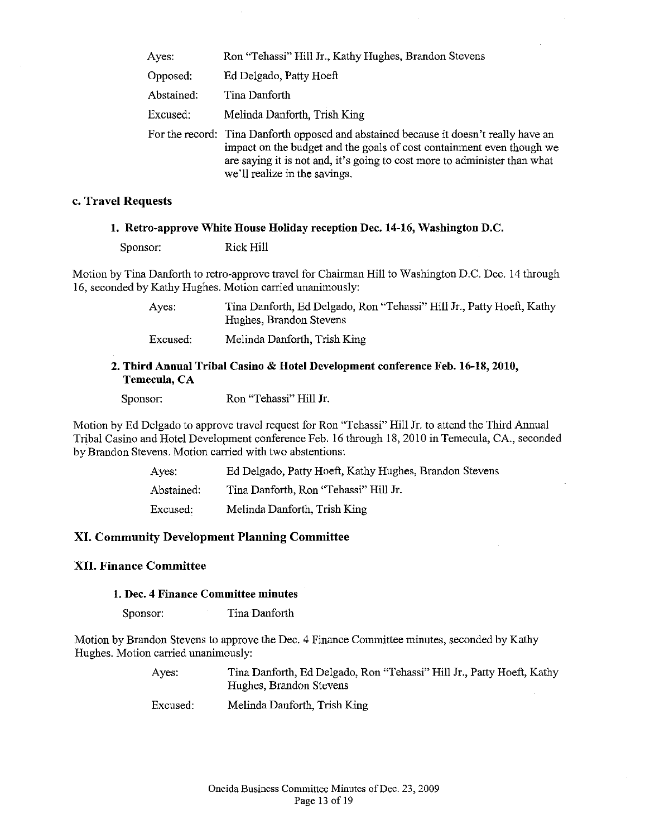| Ayes:      | Ron "Tehassi" Hill Jr., Kathy Hughes, Brandon Stevens                                                                                                                                                                                                                        |
|------------|------------------------------------------------------------------------------------------------------------------------------------------------------------------------------------------------------------------------------------------------------------------------------|
| Opposed:   | Ed Delgado, Patty Hoeft                                                                                                                                                                                                                                                      |
| Abstained: | Tina Danforth                                                                                                                                                                                                                                                                |
| Excused:   | Melinda Danforth, Trish King                                                                                                                                                                                                                                                 |
|            | For the record: Tina Danforth opposed and abstained because it doesn't really have an<br>impact on the budget and the goals of cost containment even though we<br>are saying it is not and, it's going to cost more to administer than what<br>we'll realize in the savings. |

#### **c. Travel Requests**

#### **1. Retro-approve White House Holiday reception Dec. 14-16, Washington D.C.**

Sponsor: Rick Hill

Motion by Tina Danforth to retro-approve travel for Chairman Hill to Washington D.C. Dec. 14 through 16, seconded by Kathy Hughes. Motion carried unanimously:

> Ayes: Tina Danforth, Ed Delgado, Ron "Tehassi" Hill Jr., Patty Hoeft, Kathy Hughes, Brandon Stevens

Excused: Melinda Danforth, Trish King

## **2. Third Annual Tribal Casino & Hotel Development conference Feb. 16-18, 2010, Temecula, CA**

Sponsor: Ron "Tehassi" Hill Jr.

Motion by Ed Delgado to approve travel request for Ron "Tehassi" Hill Jr. to attend the Third Annual Tribal Casino and Hotel Development conference Feb. 16 through 18,2010 in Temecula, CA., seconded by Brandon Stevens. Motion carried with two abstentions:

| Aves:      | Ed Delgado, Patty Hoeft, Kathy Hughes, Brandon Stevens |
|------------|--------------------------------------------------------|
| Abstained: | Tina Danforth, Ron "Tehassi" Hill Jr.                  |
| Excused:   | Melinda Danforth, Trish King                           |

## **XI. Community Development Planning Committee**

## **XII. Finance Committee**

#### **1. Dec. 4 Finance Committee minutes**

Sponsor: Tina Danforth

Motion by Brandon Stevens to approve the Dec. 4 Finance Committee minutes, seconded by Kathy Hughes. Motion carried unanimously:

> Ayes: Tina Danforth, Ed Delgado, Ron "Tehassi" Hill Jr., Patty Hoeft, Kathy Hughes, Brandon Stevens

Excused: Melinda Danforth, Trish King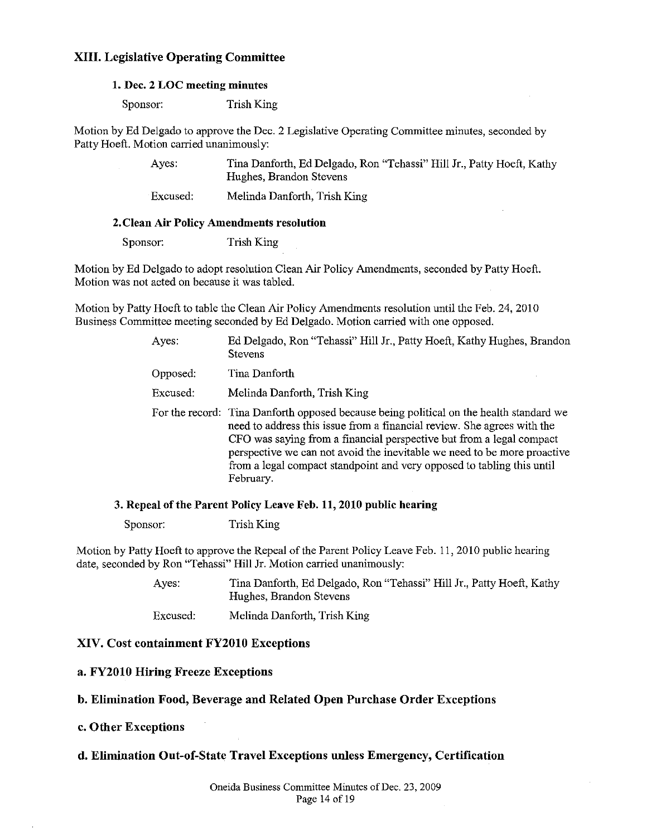## **XIII. Legislative Operating Committee**

#### **1. Dec. 2 LOC meeting minutes**

Sponsor: Trish King

Motion by Ed Delgado to approve the Dec. 2 Legislative Operating Committee minutes, seconded by Patty Hoeft. Motion carried unanimously:

> Ayes: Tina Danforth, Ed Delgado, Ron "Tehassi" Hill Jr., Patty Hoeft, Kathy Hughes, Brandon Stevens

Excused: Melinda Danforth, Trish King

#### **2. Clean Air Policy Amendments resolution**

Sponsor: Trish King

Motion by Ed Delgado to adopt resolution Clean Air Policy Amendments, seconded by Patty Hoeft. Motion was not acted on because it was tabled.

Motion by Patty Hoeft to table the Clean Air Policy Amendments resolution until the Feb. 24,2010 Business Committee meeting seconded by Ed Delgado. Motion carried with one opposed.

| Ayes:    | Ed Delgado, Ron "Tehassi" Hill Jr., Patty Hoeft, Kathy Hughes, Brandon<br><b>Stevens</b>                                                                                                                                                                                                                                                                                                                      |
|----------|---------------------------------------------------------------------------------------------------------------------------------------------------------------------------------------------------------------------------------------------------------------------------------------------------------------------------------------------------------------------------------------------------------------|
| Opposed: | Tina Danforth                                                                                                                                                                                                                                                                                                                                                                                                 |
| Excused: | Melinda Danforth, Trish King                                                                                                                                                                                                                                                                                                                                                                                  |
|          | For the record: Tina Danforth opposed because being political on the health standard we<br>need to address this issue from a financial review. She agrees with the<br>CFO was saying from a financial perspective but from a legal compact<br>perspective we can not avoid the inevitable we need to be more proactive<br>from a legal compact standpoint and very opposed to tabling this until<br>February. |

#### 3. Repeal of the Parent Policy Leave Feb. 11, 2010 public hearing

Sponsor: Trish King

Motion by Patty Hoeft to approve the Repeal of the Parent Policy Leave Feb. II, 2010 public hearing date, seconded by Ron "Tehassi" Hill Jr. Motion carried unanimously:

| Aves:    | Tina Danforth, Ed Delgado, Ron "Tehassi" Hill Jr., Patty Hoeft, Kathy<br>Hughes, Brandon Stevens |
|----------|--------------------------------------------------------------------------------------------------|
| Excused: | Melinda Danforth, Trish King                                                                     |

#### **XIV. Cost containment FY2010 Exceptions**

#### **a. FY2010 Hiring Freeze Exceptions**

## **b. Elimination Food, Beverage and Related Open Purchase Order Exceptions**

#### **c. Other Exceptions**

## **d. Elimination Out-of-State Travel Exceptions unless Emergency, Certification**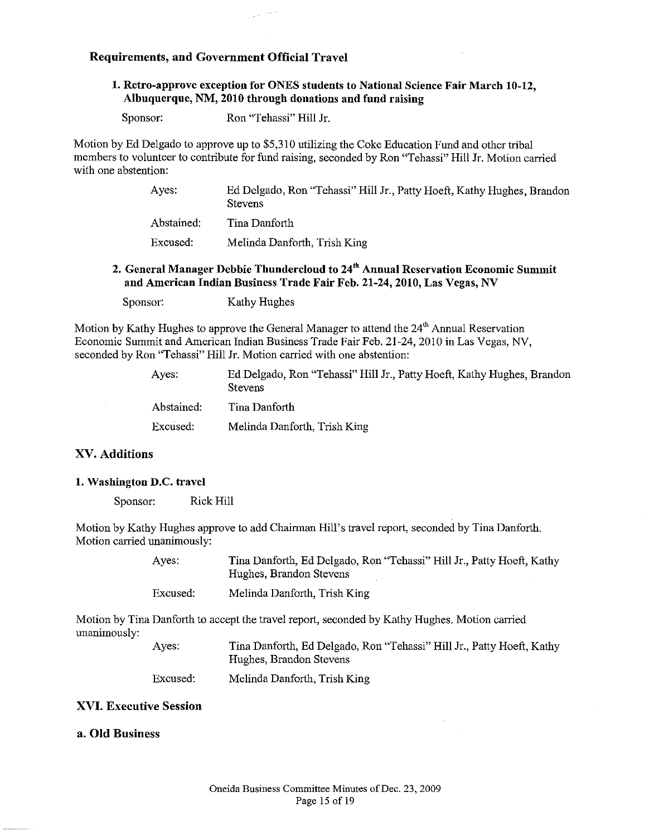## Requirements, and Government Official Travel

## 1. Retro-approve exception for ONES students to National Science Fair March 10-12, Albuquerque, NM, 2010 through donations and fund raising

Sponsor: Ron "Tehassi" Hill Jr.

Motion by Ed Delgado to approve up to \$5,310 utilizing the Coke Education Fund and other tribal members to volunteer to contribute for fund raising, seconded by Ron "Tehassi" Hill Jr. Motion carried with one abstention:

| Ayes:      | Ed Delgado, Ron "Tehassi" Hill Jr., Patty Hoeft, Kathy Hughes, Brandon<br><b>Stevens</b> |
|------------|------------------------------------------------------------------------------------------|
| Abstained: | Tina Danforth                                                                            |
| Excused:   | Melinda Danforth, Trish King                                                             |

## 2. General Manager Debbie Thundercloud to 24<sup>th</sup> Annual Reservation Economic Summit and American Indian Business Trade Fair Feb. 21-24, 2010, Las Vegas, NV

Sponsor: Kathy Hughes

Motion by Kathy Hughes to approve the General Manager to attend the  $24<sup>th</sup>$  Annual Reservation Economic Summit and American Indian Business Trade Fair Feb. 21-24, 2010 in Las Vegas, NV, seconded by Ron "Tehassi" Hill Jr. Motion carried with one abstention:

| Ayes:      | Ed Delgado, Ron "Tehassi" Hill Jr., Patty Hoeft, Kathy Hughes, Brandon<br><b>Stevens</b> |
|------------|------------------------------------------------------------------------------------------|
| Abstained: | Tina Danforth                                                                            |
| Excused:   | Melinda Danforth, Trish King                                                             |

## XV. Additions

## 1. Washington D.C. travel

Sponsor: Rick Hill

Motion by Kathy Hughes approve to add Chairman Hill's travel report, seconded by Tina Danforth. Motion carried unanimously:

| Aves:    | Tina Danforth, Ed Delgado, Ron "Tehassi" Hill Jr., Patty Hoeft, Kathy<br>Hughes, Brandon Stevens |
|----------|--------------------------------------------------------------------------------------------------|
| Excused: | Melinda Danforth, Trish King                                                                     |

Motion by Tina Danforth to accept the travel report, seconded by Kathy Hughes. Motion carried unanimously:

| Ayes.    | Tina Danforth, Ed Delgado, Ron "Tehassi" Hill Jr., Patty Hoeft, Kathy<br>Hughes, Brandon Stevens |
|----------|--------------------------------------------------------------------------------------------------|
| Excused: | Melinda Danforth, Trish King                                                                     |

## XVI. Executive Session

## a. Old Business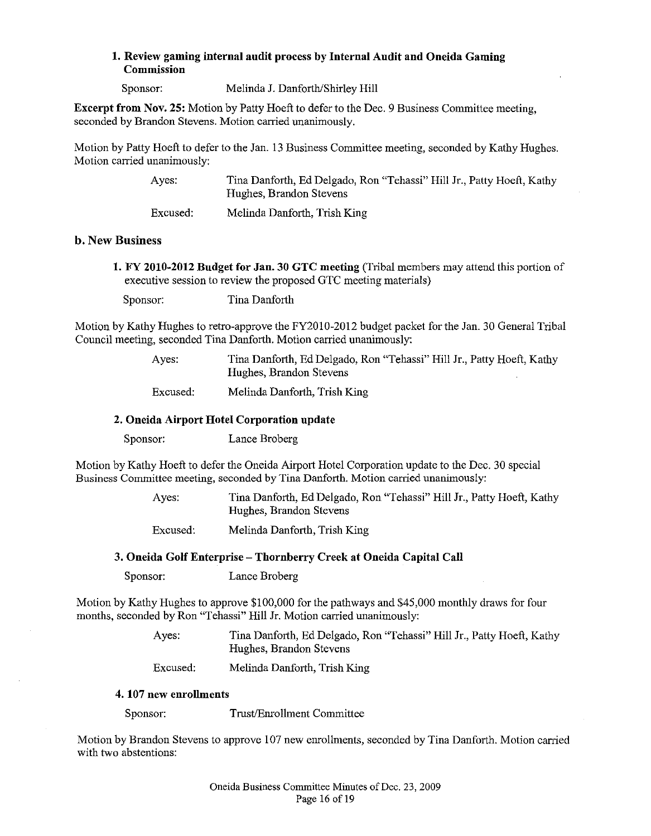## 1. Review gaming internal audit process by Internal Audit and Oneida Gaming Commission

Sponsor: Melinda J. Danforth/Shirley Hill

Excerpt from Nov. 25: Motion by Patty Hoeft to defer to the Dec. 9 Business Committee meeting, seconded by Brandon Stevens. Motion carried unanimously.

Motion by Patty Hoeft to defer to the Jan. 13 Business Committee meeting, seconded by Kathy Hughes. Motion carried unanimously:

> Ayes: Excused: Tina Danforth, Ed Delgado, Ron "Tehassi" Hill Jr., Patty Hoeft, Kathy Hughes, Brandon Stevens Melinda Danforth, Trish King

#### b. New Business

1. FY 2010-2012 Budget for Jan. 30 GTC meeting (Tribal members may attend this portion of executive session to review the proposed GTC meeting materials)

Sponsor: Tina Danforth

Motion by Kathy Hughes to retro-approve the FY2010-2012 budget packet for the Jan. 30 General Tribal Council meeting, seconded Tina Danforth. Motion carried unanimously:

> Ayes: Tina Danforth, Ed Delgado, Ron "Tehassi" Hill Jr., Patty Hoeft, Kathy Hughes, Brandon Stevens

Excused: Melinda Danforth, Trish King

#### 2. Oneida Airport Hotel Corporation update

Sponsor: Lance Broberg

Motion by Kathy Hoeft to defer the Oneida Airport Hotel Corporation update to the Dec. 30 special Business Committee meeting, seconded by Tina Danforth. Motion carried unanimously:

> Ayes: Tina Danforth, Ed Delgado, Ron "Tehassi" Hill Jr., Patty Hoeft, Kathy Hughes, Brandon Stevens

Excused: Melinda Danforth, Trish King

## 3. Oneida Golf Enterprise - Thornberry Creek at Oneida Capital Call

Sponsor: Lance Broberg

Motion by Kathy Hughes to approve \$100,000 for the pathways and \$45,000 monthly draws for four months, seconded by Ron "Tehassi" Hill Jr. Motion carried unanimously:

> Ayes: Tina Danforth, Ed Delgado, Ron "Tehassi" Hill Jr., Patty Hoeft, Kathy Hughes, Brandon Stevens

Excused: Melinda Danforth, Trish King

#### 4. 107 new enrollments

Sponsor: Trust/Enrollment Committee

Motion by Brandon Stevens to approve 107 new enrollments, seconded by Tina Danforth. Motion carried with two abstentions: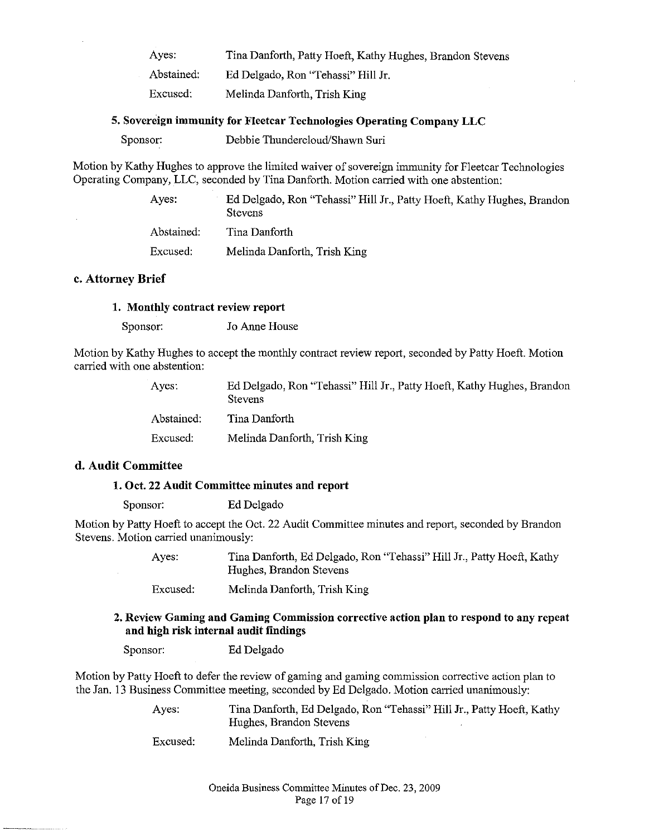Ayes: Abstained: Tina Danforth, Patty Hoeft, Kathy Hughes, Brandon Stevens Ed Delgado, Ron "Tehassi" Hill Jr.

Excused: Melinda Danforth, Trish King

## **5. Sovereign immunity for Fleetcar Technologies Operating Company LLC**

| Sponsor: | Debbie Thundercloud/Shawn Suri |  |
|----------|--------------------------------|--|
|----------|--------------------------------|--|

Motion by Kathy Hughes to approve the limited waiver of sovereign immunity for Fleetcar Technologies Operating Company, LLC, seconded by Tina Danforth. Motion carried with one abstention:

| Ayes:      | Ed Delgado, Ron "Tehassi" Hill Jr., Patty Hoeft, Kathy Hughes, Brandon<br><b>Stevens</b> |
|------------|------------------------------------------------------------------------------------------|
| Abstained. | Tina Danforth                                                                            |
| Excused:   | Melinda Danforth, Trish King                                                             |

## **c. Attorney Brief**

#### **1. Monthly contract review report**

Sponsor: Jo Anne House

Motion by Kathy Hughes to accept the monthly contract review report, seconded by Patty Hoeft. Motion carried with one abstention:

| Aves:      | Ed Delgado, Ron "Tehassi" Hill Jr., Patty Hoeft, Kathy Hughes, Brandon<br><b>Stevens</b> |
|------------|------------------------------------------------------------------------------------------|
| Abstained: | Tina Danforth                                                                            |
| Excused:   | Melinda Danforth, Trish King                                                             |

## **d. Audit Committee**

## **1. Oct. 22 Audit Committee minutes and report**

Sponsor: Ed Delgado

Motion by Patty Hoeft to accept the Oct. 22 Audit Committee minutes and report, seconded by Brandon Stevens. Motion carried unanimously:

> Ayes: Tina Danforth, Ed Delgado, Ron "Tehassi" Hill Jr., Patty Hoeft, Kathy Hughes, Brandon Stevens

Excused: Melinda Danforth, Trish King

## **2. Review Gaming and Gaming Commission corrective action plan to respond to any repeat and high risk internal audit findings**

Sponsor: Ed Delgado

Motion by Patty Hoeft to defer the review of gaming and gaming commission corrective action plan to the Jan. 13 Business Committee meeting, seconded by Ed Delgado. Motion carried unanimously:

| Ayes:    | Tina Danforth, Ed Delgado, Ron "Tehassi" Hill Jr., Patty Hoeft, Kathy |
|----------|-----------------------------------------------------------------------|
|          | Hughes, Brandon Stevens                                               |
| Excused: | Melinda Danforth, Trish King                                          |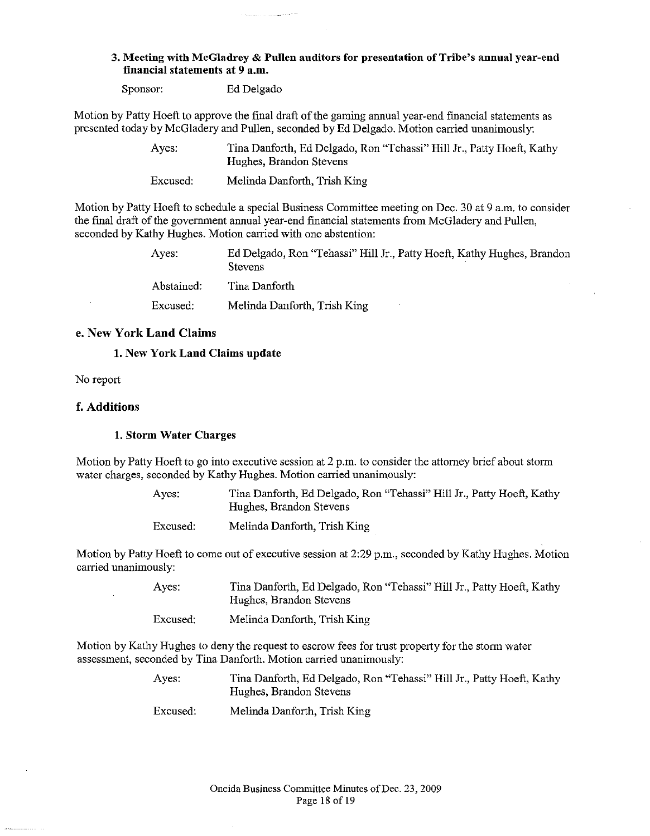#### 3. Meeting with McGladrey & Pullen auditors for presentation of Tribe's annual year-end financial statements at 9 a.m.

Sponsor: Ed Delgado

Motion by Patty Hoeft to approve the final draft of the gaming annual year-end financial statements as presented today by McGladery and Pullen, seconded by Ed Delgado. Motion carried unanimously:

> Ayes: Tina Danforth, Ed Delgado, Ron "Tehassi" Hill Jr., Patty Hoeft, Kathy Hughes, Brandon Stevens

Excused: Melinda Danforth, Trish King

Motion by Patty Hoeft to schedule a special Business Committee meeting on Dec. 30 at 9 a.m. to consider the final draft of the govermnent annual year-end fmancial statements from McGladery and Pullen, seconded by Kathy Hughes. Motion carried with one abstention:

| Aves:      | Ed Delgado, Ron "Tehassi" Hill Jr., Patty Hoeft, Kathy Hughes, Brandon<br><b>Stevens</b> |
|------------|------------------------------------------------------------------------------------------|
| Abstained: | Tina Danforth                                                                            |
| Excused:   | Melinda Danforth, Trish King                                                             |

#### e. New York Land Claims

#### 1. New York Land Claims update

No report

#### f. Additions

#### 1. Storm Water Charges

Motion by Patty Hoeft to go into executive session at 2 p.m. to consider the attorney brief about storm water charges, seconded by Kathy Hughes. Motion carried unanimously:

> Ayes: Tina Danforth, Ed Delgado, Ron "Tehassi" Hill Jr., Patty Hoeft, Kathy Hughes, Brandon Stevens

Excused: Melinda Danforth, Trish King

Motion by Patty Hoeft to come out of executive session at  $2:29$  p.m., seconded by Kathy Hughes. Motion carried unanimously:

| Ayes:    | Tina Danforth, Ed Delgado, Ron "Tehassi" Hill Jr., Patty Hoeft, Kathy<br>Hughes, Brandon Stevens |
|----------|--------------------------------------------------------------------------------------------------|
| Excused: | Melinda Danforth, Trish King                                                                     |

Motion by Kathy Hughes to deny the request to escrow fees for trust property for the storm water assessment, seconded by Tina Danforth. Motion carried unanimously:

- Ayes: Tina Danforth, Ed Delgado, Ron "Tehassi" Hill Jr., Patty Hoeft, Kathy Hughes, Brandon Stevens
- Excused: Melinda Danforth, Trish King